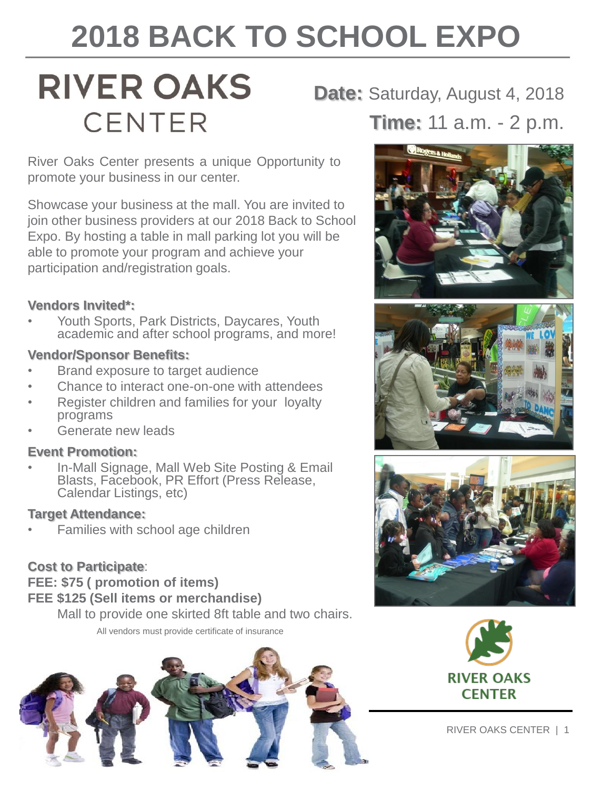# **2018 BACK TO SCHOOL EXPO**

## **RIVER OAKS CENTER**

**Date:** Saturday, August 4, 2018 **Time:** 11 a.m. - 2 p.m.

River Oaks Center presents a unique Opportunity to promote your business in our center.

Showcase your business at the mall. You are invited to join other business providers at our 2018 Back to School Expo. By hosting a table in mall parking lot you will be able to promote your program and achieve your participation and/registration goals.

#### **Vendors Invited\*:**

• Youth Sports, Park Districts, Daycares, Youth academic and after school programs, and more!

#### **Vendor/Sponsor Benefits:**

- Brand exposure to target audience
- Chance to interact one-on-one with attendees
- Register children and families for your loyalty programs
- Generate new leads

#### **Event Promotion:**

• In-Mall Signage, Mall Web Site Posting & Email Blasts, Facebook, PR Effort (Press Release, Calendar Listings, etc)

#### **Target Attendance:**

• Families with school age children

#### **Cost to Participate**:

**FEE: \$75 ( promotion of items) FEE \$125 (Sell items or merchandise)**

Mall to provide one skirted 8ft table and two chairs.

All vendors must provide certificate of insurance